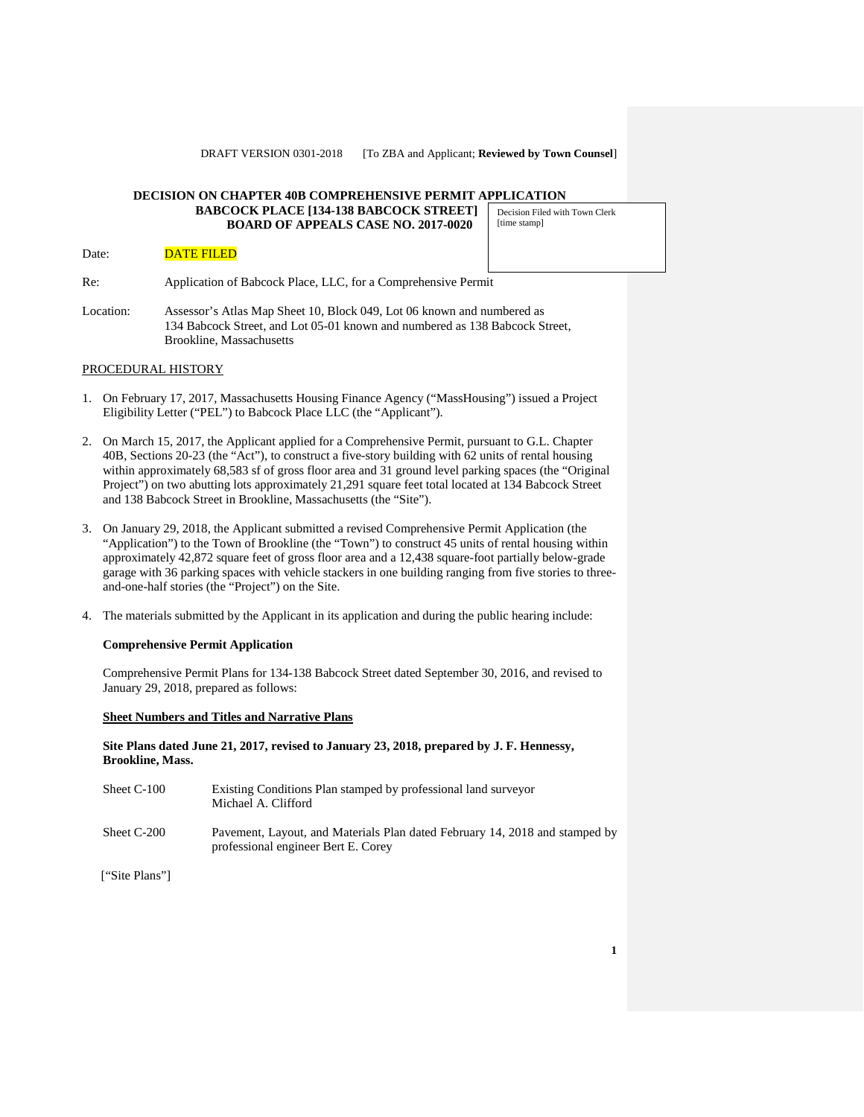#### **DECISION ON CHAPTER 40B COMPREHENSIVE PERMIT APPLICATION BABCOCK PLACE [134-138 BABCOCK STREET] BOARD OF APPEALS CASE NO. 2017-0020** [time stamp]

# Date: **DATE FILED**

Re: Application of Babcock Place, LLC, for a Comprehensive Permit

Location: Assessor's Atlas Map Sheet 10, Block 049, Lot 06 known and numbered as 134 Babcock Street, and Lot 05-01 known and numbered as 138 Babcock Street, Brookline, Massachusetts

### PROCEDURAL HISTORY

- 1. On February 17, 2017, Massachusetts Housing Finance Agency ("MassHousing") issued a Project Eligibility Letter ("PEL") to Babcock Place LLC (the "Applicant").
- 2. On March 15, 2017, the Applicant applied for a Comprehensive Permit, pursuant to G.L. Chapter 40B, Sections 20-23 (the "Act"), to construct a five-story building with 62 units of rental housing within approximately 68,583 sf of gross floor area and 31 ground level parking spaces (the "Original Project") on two abutting lots approximately 21,291 square feet total located at 134 Babcock Street and 138 Babcock Street in Brookline, Massachusetts (the "Site").
- 3. On January 29, 2018, the Applicant submitted a revised Comprehensive Permit Application (the "Application") to the Town of Brookline (the "Town") to construct 45 units of rental housing within approximately 42,872 square feet of gross floor area and a 12,438 square-foot partially below-grade garage with 36 parking spaces with vehicle stackers in one building ranging from five stories to threeand-one-half stories (the "Project") on the Site.
- 4. The materials submitted by the Applicant in its application and during the public hearing include:

### **Comprehensive Permit Application**

Comprehensive Permit Plans for 134-138 Babcock Street dated September 30, 2016, and revised to January 29, 2018, prepared as follows:

#### **Sheet Numbers and Titles and Narrative Plans**

**Site Plans dated June 21, 2017, revised to January 23, 2018, prepared by J. F. Hennessy, Brookline, Mass.**

| Sheet C-100 | Existing Conditions Plan stamped by professional land surveyor<br>Michael A. Clifford                              |
|-------------|--------------------------------------------------------------------------------------------------------------------|
| Sheet C-200 | Pavement, Layout, and Materials Plan dated February 14, 2018 and stamped by<br>professional engineer Bert E. Corey |

["Site Plans"]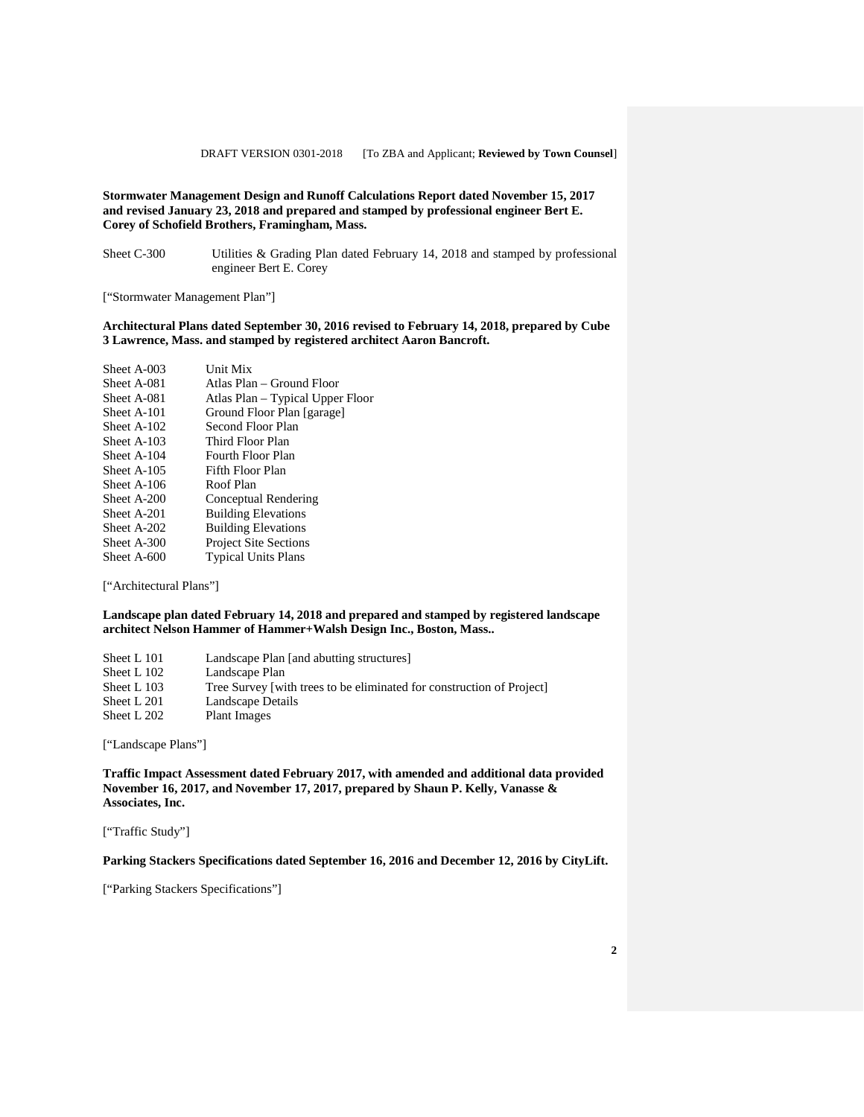### **Stormwater Management Design and Runoff Calculations Report dated November 15, 2017 and revised January 23, 2018 and prepared and stamped by professional engineer Bert E. Corey of Schofield Brothers, Framingham, Mass.**

Sheet C-300 Utilities & Grading Plan dated February 14, 2018 and stamped by professional engineer Bert E. Corey

["Stormwater Management Plan"]

### **Architectural Plans dated September 30, 2016 revised to February 14, 2018, prepared by Cube 3 Lawrence, Mass. and stamped by registered architect Aaron Bancroft.**

| Sheet A-003 | Unit Mix                         |
|-------------|----------------------------------|
| Sheet A-081 | Atlas Plan – Ground Floor        |
| Sheet A-081 | Atlas Plan – Typical Upper Floor |
| Sheet A-101 | Ground Floor Plan [garage]       |
| Sheet A-102 | Second Floor Plan                |
| Sheet A-103 | Third Floor Plan                 |
| Sheet A-104 | Fourth Floor Plan                |
| Sheet A-105 | Fifth Floor Plan                 |
| Sheet A-106 | Roof Plan                        |
| Sheet A-200 | Conceptual Rendering             |
| Sheet A-201 | <b>Building Elevations</b>       |
| Sheet A-202 | <b>Building Elevations</b>       |
| Sheet A-300 | <b>Project Site Sections</b>     |
| Sheet A-600 | <b>Typical Units Plans</b>       |

["Architectural Plans"]

### **Landscape plan dated February 14, 2018 and prepared and stamped by registered landscape architect Nelson Hammer of Hammer+Walsh Design Inc., Boston, Mass..**

| Sheet L 101 | Landscape Plan [and abutting structures]                              |
|-------------|-----------------------------------------------------------------------|
| Sheet L 102 | Landscape Plan                                                        |
| Sheet L 103 | Tree Survey [with trees to be eliminated for construction of Project] |
| Sheet L 201 | Landscape Details                                                     |
| Sheet L 202 | Plant Images                                                          |

["Landscape Plans"]

**Traffic Impact Assessment dated February 2017, with amended and additional data provided November 16, 2017, and November 17, 2017, prepared by Shaun P. Kelly, Vanasse & Associates, Inc.** 

["Traffic Study"]

**Parking Stackers Specifications dated September 16, 2016 and December 12, 2016 by CityLift.**

["Parking Stackers Specifications"]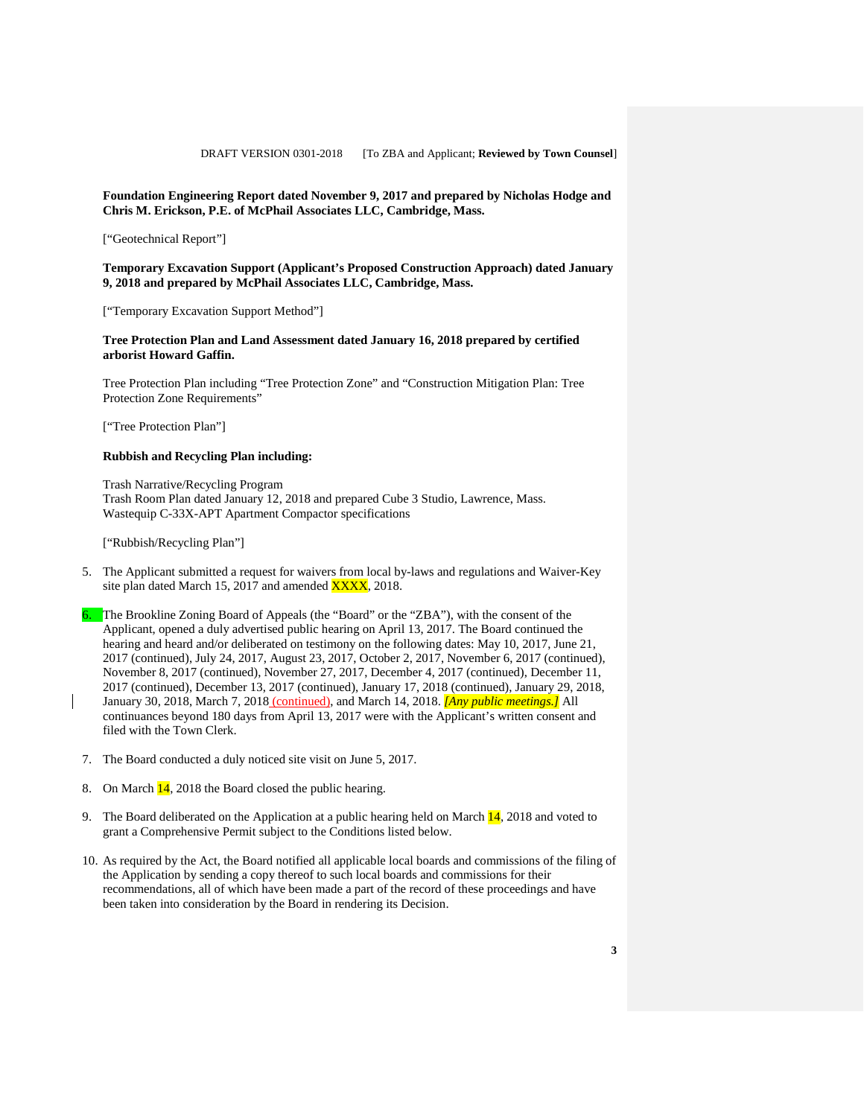#### **Foundation Engineering Report dated November 9, 2017 and prepared by Nicholas Hodge and Chris M. Erickson, P.E. of McPhail Associates LLC, Cambridge, Mass.**

["Geotechnical Report"]

**Temporary Excavation Support (Applicant's Proposed Construction Approach) dated January 9, 2018 and prepared by McPhail Associates LLC, Cambridge, Mass.**

["Temporary Excavation Support Method"]

### **Tree Protection Plan and Land Assessment dated January 16, 2018 prepared by certified arborist Howard Gaffin.**

Tree Protection Plan including "Tree Protection Zone" and "Construction Mitigation Plan: Tree Protection Zone Requirements"

["Tree Protection Plan"]

### **Rubbish and Recycling Plan including:**

Trash Narrative/Recycling Program Trash Room Plan dated January 12, 2018 and prepared Cube 3 Studio, Lawrence, Mass. Wastequip C-33X-APT Apartment Compactor specifications

["Rubbish/Recycling Plan"]

- 5. The Applicant submitted a request for waivers from local by-laws and regulations and Waiver-Key site plan dated March 15, 2017 and amended  $\overline{XXX}$ , 2018.
- 6. The Brookline Zoning Board of Appeals (the "Board" or the "ZBA"), with the consent of the Applicant, opened a duly advertised public hearing on April 13, 2017. The Board continued the hearing and heard and/or deliberated on testimony on the following dates: May 10, 2017, June 21, 2017 (continued), July 24, 2017, August 23, 2017, October 2, 2017, November 6, 2017 (continued), November 8, 2017 (continued), November 27, 2017, December 4, 2017 (continued), December 11, 2017 (continued), December 13, 2017 (continued), January 17, 2018 (continued), January 29, 2018, January 30, 2018, March 7, 2018 (continued), and March 14, 2018. *[Any public meetings.]* All continuances beyond 180 days from April 13, 2017 were with the Applicant's written consent and filed with the Town Clerk.
- 7. The Board conducted a duly noticed site visit on June 5, 2017.
- 8. On March 14, 2018 the Board closed the public hearing.
- 9. The Board deliberated on the Application at a public hearing held on March  $\frac{14}{14}$ , 2018 and voted to grant a Comprehensive Permit subject to the Conditions listed below.
- 10. As required by the Act, the Board notified all applicable local boards and commissions of the filing of the Application by sending a copy thereof to such local boards and commissions for their recommendations, all of which have been made a part of the record of these proceedings and have been taken into consideration by the Board in rendering its Decision.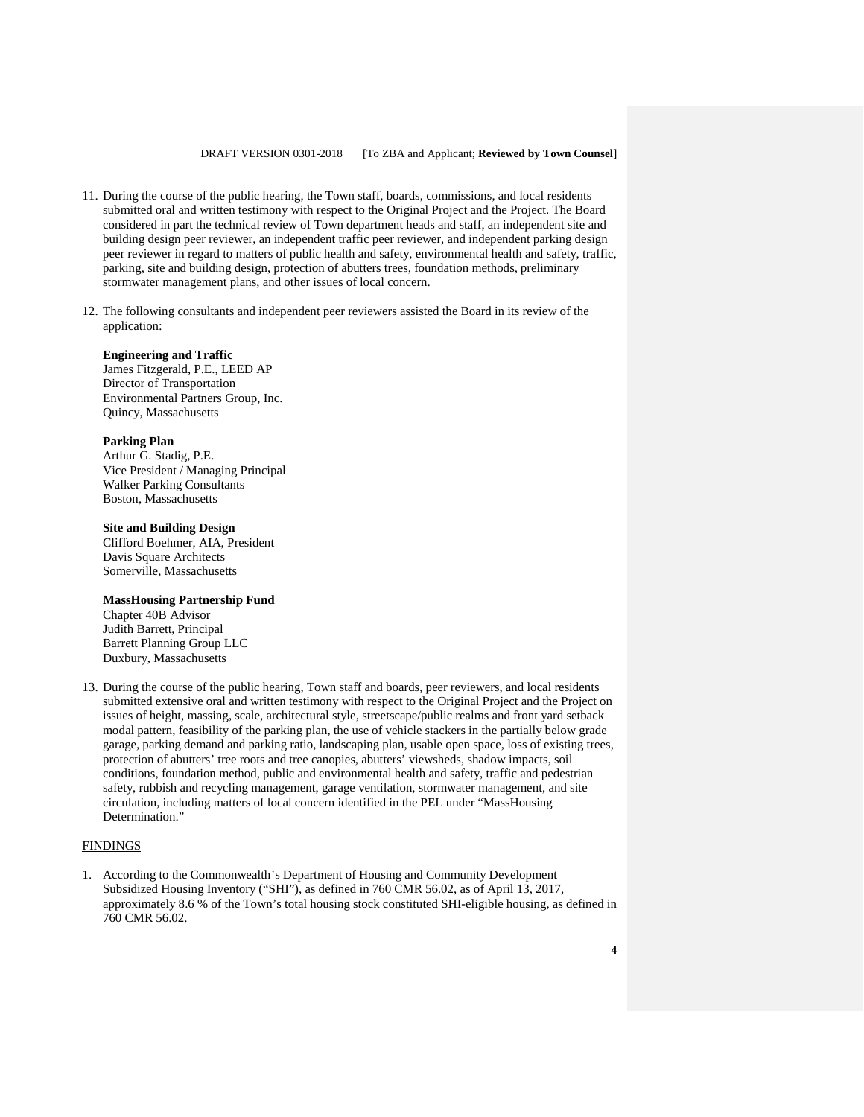- 11. During the course of the public hearing, the Town staff, boards, commissions, and local residents submitted oral and written testimony with respect to the Original Project and the Project. The Board considered in part the technical review of Town department heads and staff, an independent site and building design peer reviewer, an independent traffic peer reviewer, and independent parking design peer reviewer in regard to matters of public health and safety, environmental health and safety, traffic, parking, site and building design, protection of abutters trees, foundation methods, preliminary stormwater management plans, and other issues of local concern.
- 12. The following consultants and independent peer reviewers assisted the Board in its review of the application:

### **Engineering and Traffic**

James Fitzgerald, P.E., LEED AP Director of Transportation Environmental Partners Group, Inc. Quincy, Massachusetts

### **Parking Plan**

Arthur G. Stadig, P.E. Vice President / Managing Principal Walker Parking Consultants Boston, Massachusetts

#### **Site and Building Design**

Clifford Boehmer, AIA, President Davis Square Architects Somerville, Massachusetts

### **MassHousing Partnership Fund**

Chapter 40B Advisor Judith Barrett, Principal Barrett Planning Group LLC Duxbury, Massachusetts

13. During the course of the public hearing, Town staff and boards, peer reviewers, and local residents submitted extensive oral and written testimony with respect to the Original Project and the Project on issues of height, massing, scale, architectural style, streetscape/public realms and front yard setback modal pattern, feasibility of the parking plan, the use of vehicle stackers in the partially below grade garage, parking demand and parking ratio, landscaping plan, usable open space, loss of existing trees, protection of abutters' tree roots and tree canopies, abutters' viewsheds, shadow impacts, soil conditions, foundation method, public and environmental health and safety, traffic and pedestrian safety, rubbish and recycling management, garage ventilation, stormwater management, and site circulation, including matters of local concern identified in the PEL under "MassHousing Determination."

### FINDINGS

1. According to the Commonwealth's Department of Housing and Community Development Subsidized Housing Inventory ("SHI"), as defined in 760 CMR 56.02, as of April 13, 2017, approximately 8.6 % of the Town's total housing stock constituted SHI-eligible housing, as defined in 760 CMR 56.02.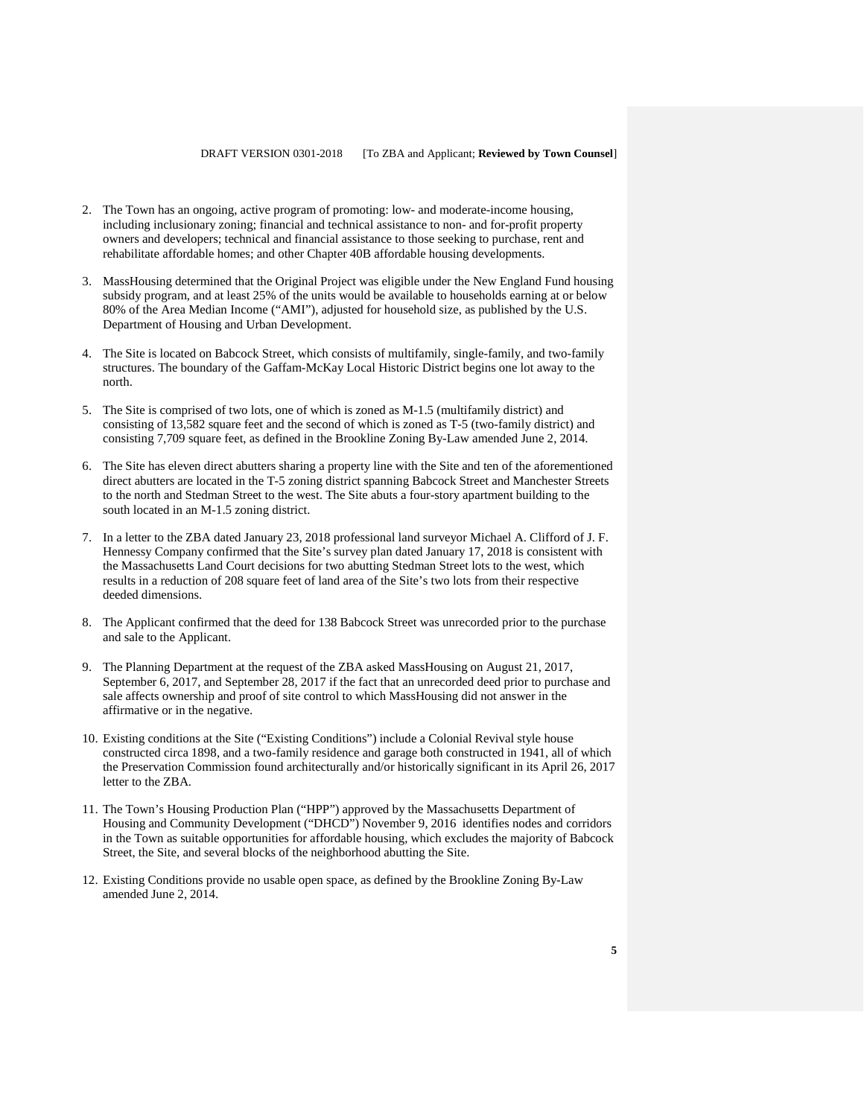- 2. The Town has an ongoing, active program of promoting: low- and moderate-income housing, including inclusionary zoning; financial and technical assistance to non- and for-profit property owners and developers; technical and financial assistance to those seeking to purchase, rent and rehabilitate affordable homes; and other Chapter 40B affordable housing developments.
- 3. MassHousing determined that the Original Project was eligible under the New England Fund housing subsidy program, and at least 25% of the units would be available to households earning at or below 80% of the Area Median Income ("AMI"), adjusted for household size, as published by the U.S. Department of Housing and Urban Development.
- 4. The Site is located on Babcock Street, which consists of multifamily, single-family, and two-family structures. The boundary of the Gaffam-McKay Local Historic District begins one lot away to the north.
- 5. The Site is comprised of two lots, one of which is zoned as M-1.5 (multifamily district) and consisting of 13,582 square feet and the second of which is zoned as T-5 (two-family district) and consisting 7,709 square feet, as defined in the Brookline Zoning By-Law amended June 2, 2014.
- 6. The Site has eleven direct abutters sharing a property line with the Site and ten of the aforementioned direct abutters are located in the T-5 zoning district spanning Babcock Street and Manchester Streets to the north and Stedman Street to the west. The Site abuts a four-story apartment building to the south located in an M-1.5 zoning district.
- 7. In a letter to the ZBA dated January 23, 2018 professional land surveyor Michael A. Clifford of J. F. Hennessy Company confirmed that the Site's survey plan dated January 17, 2018 is consistent with the Massachusetts Land Court decisions for two abutting Stedman Street lots to the west, which results in a reduction of 208 square feet of land area of the Site's two lots from their respective deeded dimensions.
- 8. The Applicant confirmed that the deed for 138 Babcock Street was unrecorded prior to the purchase and sale to the Applicant.
- 9. The Planning Department at the request of the ZBA asked MassHousing on August 21, 2017, September 6, 2017, and September 28, 2017 if the fact that an unrecorded deed prior to purchase and sale affects ownership and proof of site control to which MassHousing did not answer in the affirmative or in the negative.
- 10. Existing conditions at the Site ("Existing Conditions") include a Colonial Revival style house constructed circa 1898, and a two-family residence and garage both constructed in 1941, all of which the Preservation Commission found architecturally and/or historically significant in its April 26, 2017 letter to the ZBA.
- 11. The Town's Housing Production Plan ("HPP") approved by the Massachusetts Department of Housing and Community Development ("DHCD") November 9, 2016 identifies nodes and corridors in the Town as suitable opportunities for affordable housing, which excludes the majority of Babcock Street, the Site, and several blocks of the neighborhood abutting the Site.
- 12. Existing Conditions provide no usable open space, as defined by the Brookline Zoning By-Law amended June 2, 2014.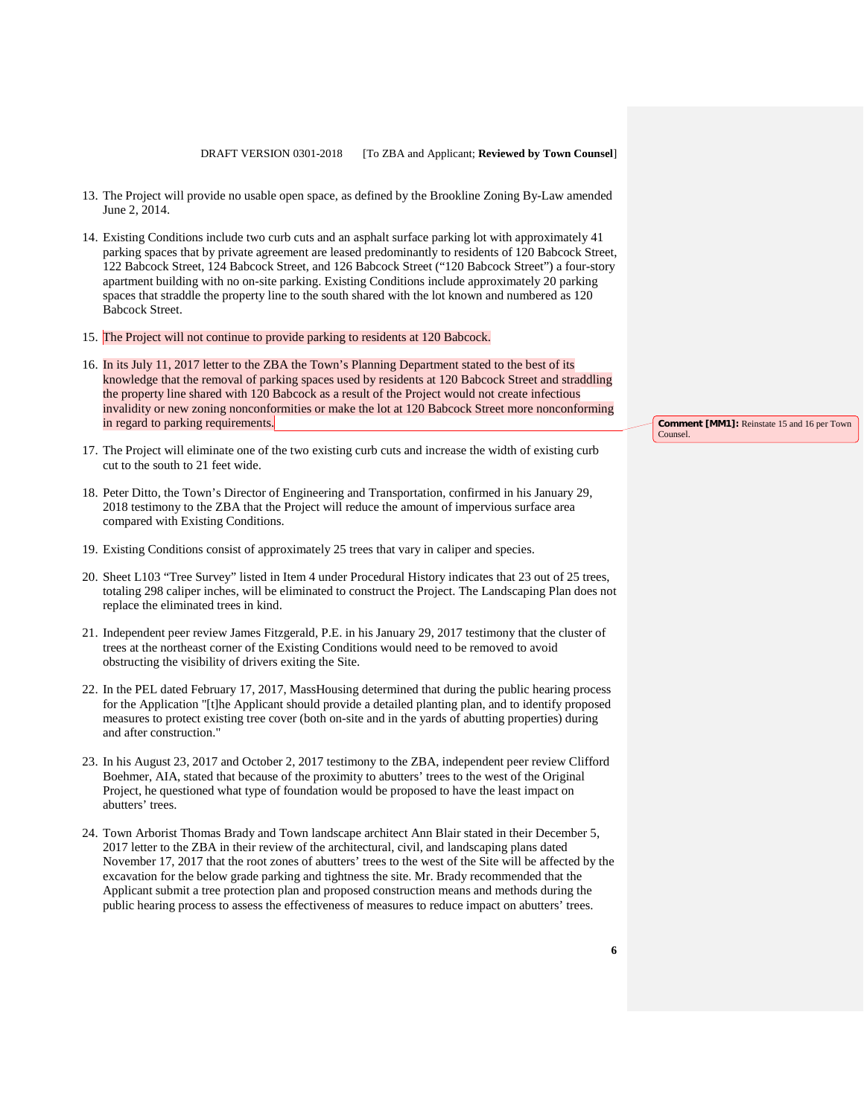- 13. The Project will provide no usable open space, as defined by the Brookline Zoning By-Law amended June 2, 2014.
- 14. Existing Conditions include two curb cuts and an asphalt surface parking lot with approximately 41 parking spaces that by private agreement are leased predominantly to residents of 120 Babcock Street, 122 Babcock Street, 124 Babcock Street, and 126 Babcock Street ("120 Babcock Street") a four-story apartment building with no on-site parking. Existing Conditions include approximately 20 parking spaces that straddle the property line to the south shared with the lot known and numbered as 120 Babcock Street.
- 15. The Project will not continue to provide parking to residents at 120 Babcock.
- 16. In its July 11, 2017 letter to the ZBA the Town's Planning Department stated to the best of its knowledge that the removal of parking spaces used by residents at 120 Babcock Street and straddling the property line shared with 120 Babcock as a result of the Project would not create infectious invalidity or new zoning nonconformities or make the lot at 120 Babcock Street more nonconforming in regard to parking requirements.
- 17. The Project will eliminate one of the two existing curb cuts and increase the width of existing curb cut to the south to 21 feet wide.
- 18. Peter Ditto, the Town's Director of Engineering and Transportation, confirmed in his January 29, 2018 testimony to the ZBA that the Project will reduce the amount of impervious surface area compared with Existing Conditions.
- 19. Existing Conditions consist of approximately 25 trees that vary in caliper and species.
- 20. Sheet L103 "Tree Survey" listed in Item 4 under Procedural History indicates that 23 out of 25 trees, totaling 298 caliper inches, will be eliminated to construct the Project. The Landscaping Plan does not replace the eliminated trees in kind.
- 21. Independent peer review James Fitzgerald, P.E. in his January 29, 2017 testimony that the cluster of trees at the northeast corner of the Existing Conditions would need to be removed to avoid obstructing the visibility of drivers exiting the Site.
- 22. In the PEL dated February 17, 2017, MassHousing determined that during the public hearing process for the Application "[t]he Applicant should provide a detailed planting plan, and to identify proposed measures to protect existing tree cover (both on-site and in the yards of abutting properties) during and after construction."
- 23. In his August 23, 2017 and October 2, 2017 testimony to the ZBA, independent peer review Clifford Boehmer, AIA, stated that because of the proximity to abutters' trees to the west of the Original Project, he questioned what type of foundation would be proposed to have the least impact on abutters' trees.
- 24. Town Arborist Thomas Brady and Town landscape architect Ann Blair stated in their December 5, 2017 letter to the ZBA in their review of the architectural, civil, and landscaping plans dated November 17, 2017 that the root zones of abutters' trees to the west of the Site will be affected by the excavation for the below grade parking and tightness the site. Mr. Brady recommended that the Applicant submit a tree protection plan and proposed construction means and methods during the public hearing process to assess the effectiveness of measures to reduce impact on abutters' trees.

**Comment [MM1]:** Reinstate 15 and 16 per Town Counsel.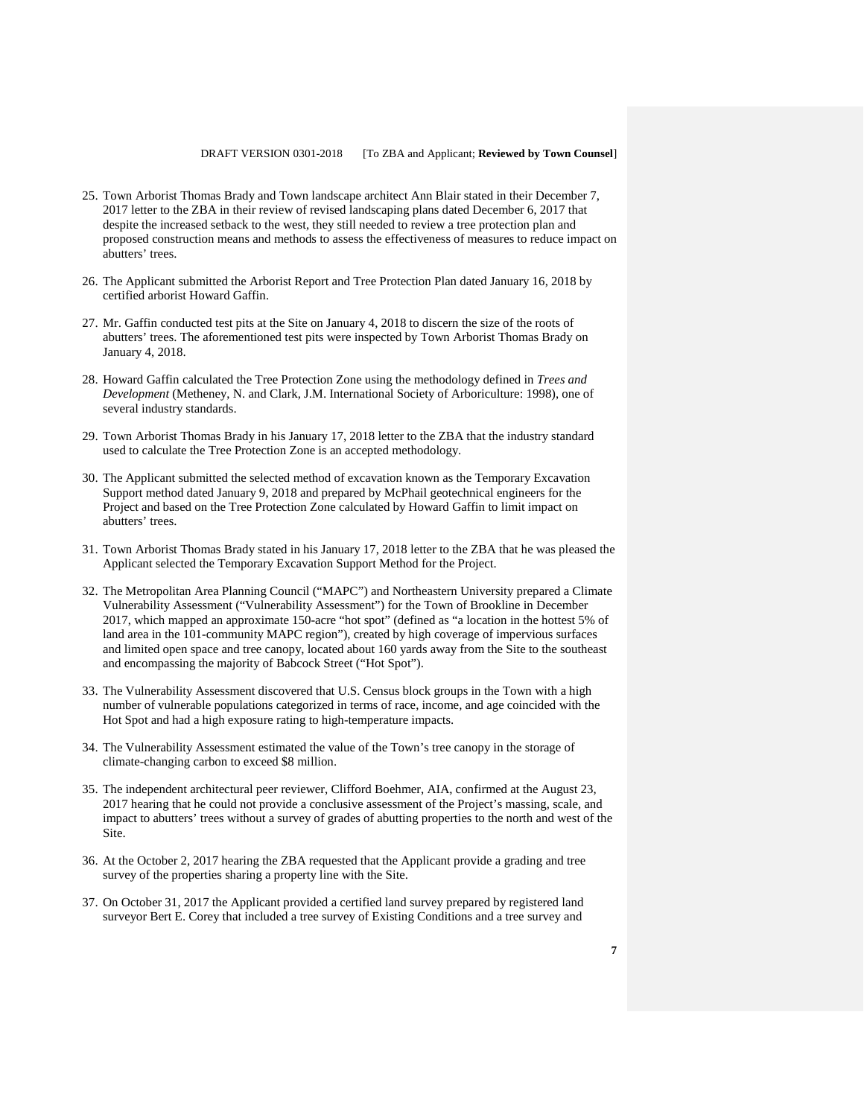- 25. Town Arborist Thomas Brady and Town landscape architect Ann Blair stated in their December 7, 2017 letter to the ZBA in their review of revised landscaping plans dated December 6, 2017 that despite the increased setback to the west, they still needed to review a tree protection plan and proposed construction means and methods to assess the effectiveness of measures to reduce impact on abutters' trees.
- 26. The Applicant submitted the Arborist Report and Tree Protection Plan dated January 16, 2018 by certified arborist Howard Gaffin.
- 27. Mr. Gaffin conducted test pits at the Site on January 4, 2018 to discern the size of the roots of abutters' trees. The aforementioned test pits were inspected by Town Arborist Thomas Brady on January 4, 2018.
- 28. Howard Gaffin calculated the Tree Protection Zone using the methodology defined in *Trees and Development* (Metheney, N. and Clark, J.M. International Society of Arboriculture: 1998), one of several industry standards.
- 29. Town Arborist Thomas Brady in his January 17, 2018 letter to the ZBA that the industry standard used to calculate the Tree Protection Zone is an accepted methodology.
- 30. The Applicant submitted the selected method of excavation known as the Temporary Excavation Support method dated January 9, 2018 and prepared by McPhail geotechnical engineers for the Project and based on the Tree Protection Zone calculated by Howard Gaffin to limit impact on abutters' trees.
- 31. Town Arborist Thomas Brady stated in his January 17, 2018 letter to the ZBA that he was pleased the Applicant selected the Temporary Excavation Support Method for the Project.
- 32. The Metropolitan Area Planning Council ("MAPC") and Northeastern University prepared a Climate Vulnerability Assessment ("Vulnerability Assessment") for the Town of Brookline in December 2017, which mapped an approximate 150-acre "hot spot" (defined as "a location in the hottest 5% of land area in the 101-community MAPC region"), created by high coverage of impervious surfaces and limited open space and tree canopy, located about 160 yards away from the Site to the southeast and encompassing the majority of Babcock Street ("Hot Spot").
- 33. The Vulnerability Assessment discovered that U.S. Census block groups in the Town with a high number of vulnerable populations categorized in terms of race, income, and age coincided with the Hot Spot and had a high exposure rating to high-temperature impacts.
- 34. The Vulnerability Assessment estimated the value of the Town's tree canopy in the storage of climate-changing carbon to exceed \$8 million.
- 35. The independent architectural peer reviewer, Clifford Boehmer, AIA, confirmed at the August 23, 2017 hearing that he could not provide a conclusive assessment of the Project's massing, scale, and impact to abutters' trees without a survey of grades of abutting properties to the north and west of the Site.
- 36. At the October 2, 2017 hearing the ZBA requested that the Applicant provide a grading and tree survey of the properties sharing a property line with the Site.
- 37. On October 31, 2017 the Applicant provided a certified land survey prepared by registered land surveyor Bert E. Corey that included a tree survey of Existing Conditions and a tree survey and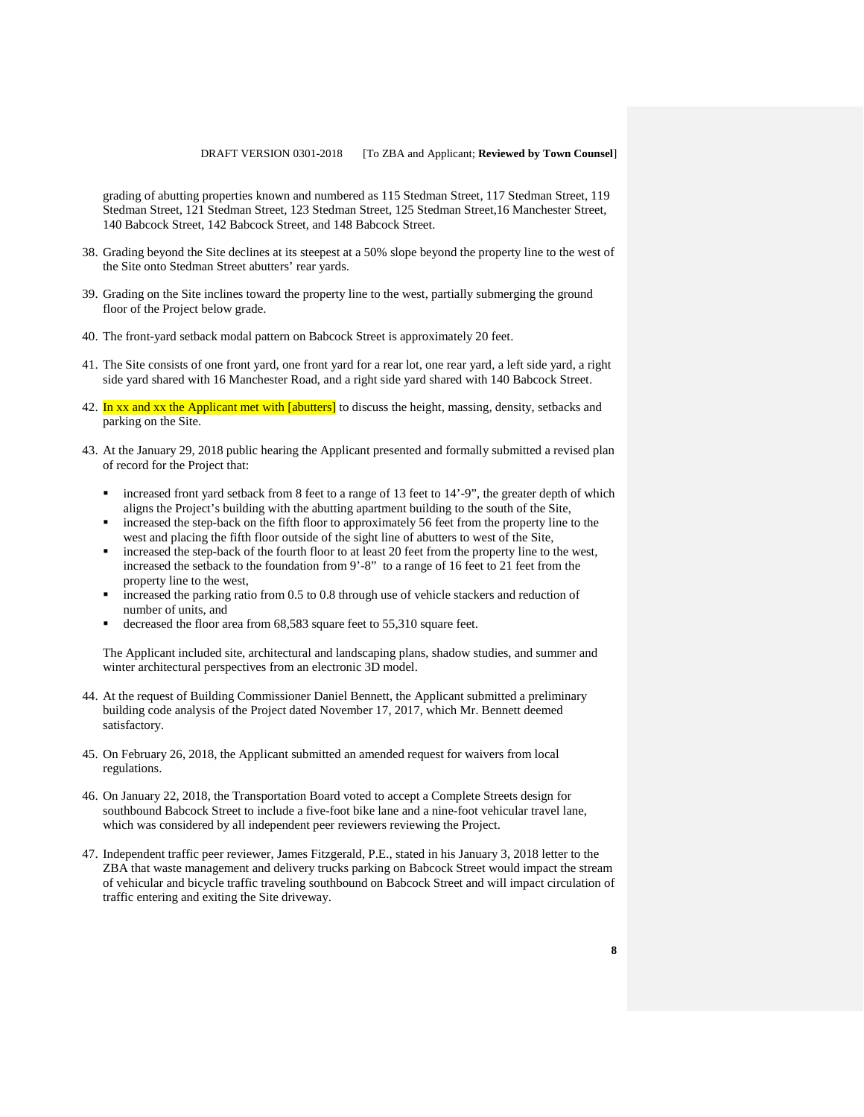grading of abutting properties known and numbered as 115 Stedman Street, 117 Stedman Street, 119 Stedman Street, 121 Stedman Street, 123 Stedman Street, 125 Stedman Street,16 Manchester Street, 140 Babcock Street, 142 Babcock Street, and 148 Babcock Street.

- 38. Grading beyond the Site declines at its steepest at a 50% slope beyond the property line to the west of the Site onto Stedman Street abutters' rear yards.
- 39. Grading on the Site inclines toward the property line to the west, partially submerging the ground floor of the Project below grade.
- 40. The front-yard setback modal pattern on Babcock Street is approximately 20 feet.
- 41. The Site consists of one front yard, one front yard for a rear lot, one rear yard, a left side yard, a right side yard shared with 16 Manchester Road, and a right side yard shared with 140 Babcock Street.
- 42. In xx and xx the Applicant met with [abutters] to discuss the height, massing, density, setbacks and parking on the Site.
- 43. At the January 29, 2018 public hearing the Applicant presented and formally submitted a revised plan of record for the Project that:
	- increased front yard setback from 8 feet to a range of 13 feet to 14'-9", the greater depth of which aligns the Project's building with the abutting apartment building to the south of the Site,
	- increased the step-back on the fifth floor to approximately 56 feet from the property line to the west and placing the fifth floor outside of the sight line of abutters to west of the Site,
	- increased the step-back of the fourth floor to at least 20 feet from the property line to the west, increased the setback to the foundation from 9'-8" to a range of 16 feet to 21 feet from the property line to the west,
	- increased the parking ratio from 0.5 to 0.8 through use of vehicle stackers and reduction of number of units, and
	- decreased the floor area from 68,583 square feet to 55,310 square feet.

The Applicant included site, architectural and landscaping plans, shadow studies, and summer and winter architectural perspectives from an electronic 3D model.

- 44. At the request of Building Commissioner Daniel Bennett, the Applicant submitted a preliminary building code analysis of the Project dated November 17, 2017, which Mr. Bennett deemed satisfactory.
- 45. On February 26, 2018, the Applicant submitted an amended request for waivers from local regulations.
- 46. On January 22, 2018, the Transportation Board voted to accept a Complete Streets design for southbound Babcock Street to include a five-foot bike lane and a nine-foot vehicular travel lane, which was considered by all independent peer reviewers reviewing the Project.
- 47. Independent traffic peer reviewer, James Fitzgerald, P.E., stated in his January 3, 2018 letter to the ZBA that waste management and delivery trucks parking on Babcock Street would impact the stream of vehicular and bicycle traffic traveling southbound on Babcock Street and will impact circulation of traffic entering and exiting the Site driveway.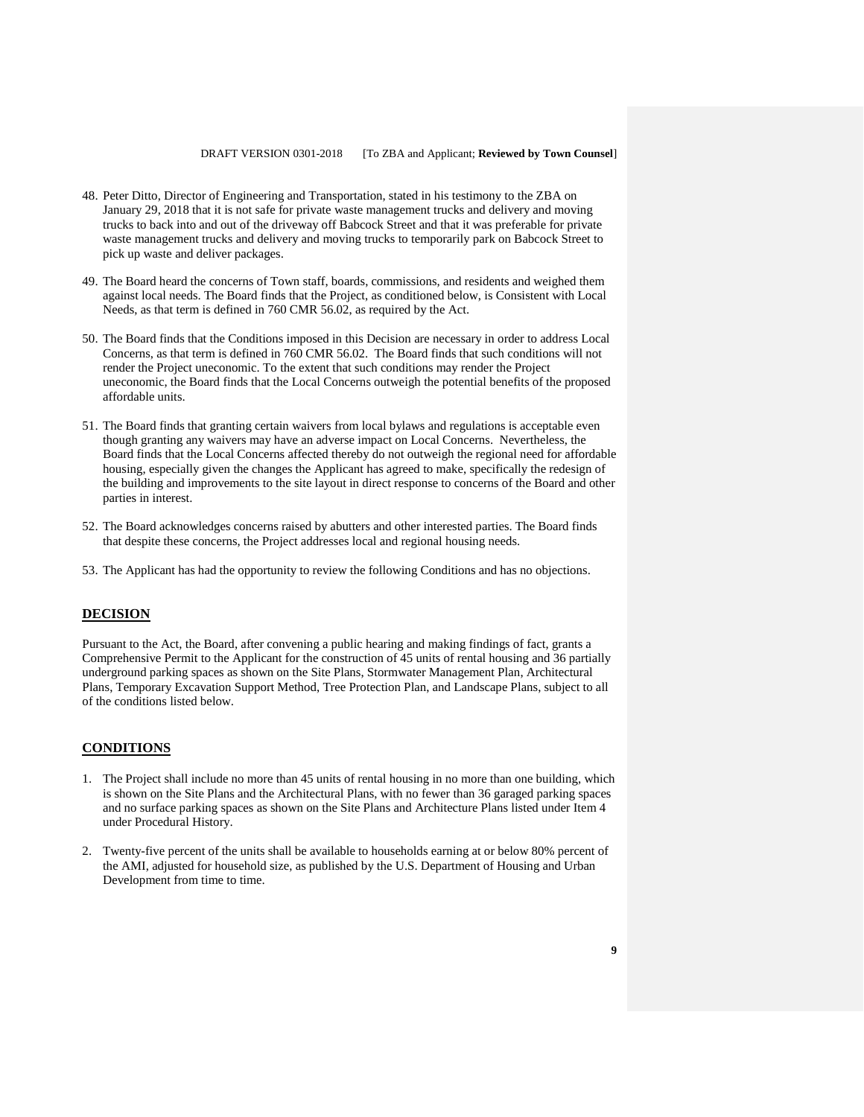- 48. Peter Ditto, Director of Engineering and Transportation, stated in his testimony to the ZBA on January 29, 2018 that it is not safe for private waste management trucks and delivery and moving trucks to back into and out of the driveway off Babcock Street and that it was preferable for private waste management trucks and delivery and moving trucks to temporarily park on Babcock Street to pick up waste and deliver packages.
- 49. The Board heard the concerns of Town staff, boards, commissions, and residents and weighed them against local needs. The Board finds that the Project, as conditioned below, is Consistent with Local Needs, as that term is defined in 760 CMR 56.02, as required by the Act.
- 50. The Board finds that the Conditions imposed in this Decision are necessary in order to address Local Concerns, as that term is defined in 760 CMR 56.02. The Board finds that such conditions will not render the Project uneconomic. To the extent that such conditions may render the Project uneconomic, the Board finds that the Local Concerns outweigh the potential benefits of the proposed affordable units.
- 51. The Board finds that granting certain waivers from local bylaws and regulations is acceptable even though granting any waivers may have an adverse impact on Local Concerns. Nevertheless, the Board finds that the Local Concerns affected thereby do not outweigh the regional need for affordable housing, especially given the changes the Applicant has agreed to make, specifically the redesign of the building and improvements to the site layout in direct response to concerns of the Board and other parties in interest.
- 52. The Board acknowledges concerns raised by abutters and other interested parties. The Board finds that despite these concerns, the Project addresses local and regional housing needs.
- 53. The Applicant has had the opportunity to review the following Conditions and has no objections.

### **DECISION**

Pursuant to the Act, the Board, after convening a public hearing and making findings of fact, grants a Comprehensive Permit to the Applicant for the construction of 45 units of rental housing and 36 partially underground parking spaces as shown on the Site Plans, Stormwater Management Plan, Architectural Plans, Temporary Excavation Support Method, Tree Protection Plan, and Landscape Plans, subject to all of the conditions listed below.

### **CONDITIONS**

- 1. The Project shall include no more than 45 units of rental housing in no more than one building, which is shown on the Site Plans and the Architectural Plans, with no fewer than 36 garaged parking spaces and no surface parking spaces as shown on the Site Plans and Architecture Plans listed under Item 4 under Procedural History.
- 2. Twenty-five percent of the units shall be available to households earning at or below 80% percent of the AMI, adjusted for household size, as published by the U.S. Department of Housing and Urban Development from time to time.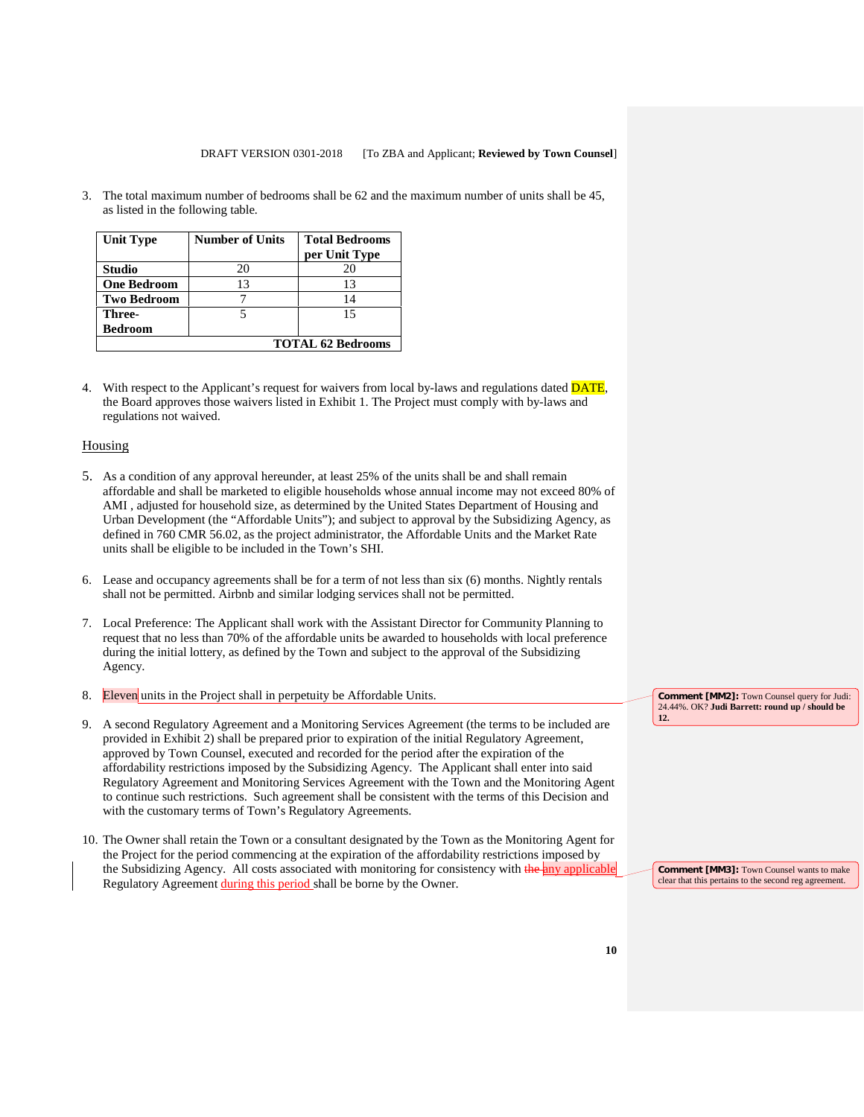3. The total maximum number of bedrooms shall be 62 and the maximum number of units shall be 45, as listed in the following table*.*

| <b>Unit Type</b>         | <b>Number of Units</b> | <b>Total Bedrooms</b><br>per Unit Type |  |
|--------------------------|------------------------|----------------------------------------|--|
| <b>Studio</b>            | 20                     | 20                                     |  |
| <b>One Bedroom</b>       | 13                     | 13                                     |  |
| <b>Two Bedroom</b>       |                        | 14                                     |  |
| Three-                   |                        | 15                                     |  |
| <b>Bedroom</b>           |                        |                                        |  |
| <b>TOTAL 62 Bedrooms</b> |                        |                                        |  |

4. With respect to the Applicant's request for waivers from local by-laws and regulations dated **DATE**, the Board approves those waivers listed in Exhibit 1. The Project must comply with by-laws and regulations not waived.

### Housing

- 5. As a condition of any approval hereunder, at least 25% of the units shall be and shall remain affordable and shall be marketed to eligible households whose annual income may not exceed 80% of AMI , adjusted for household size, as determined by the United States Department of Housing and Urban Development (the "Affordable Units"); and subject to approval by the Subsidizing Agency, as defined in 760 CMR 56.02, as the project administrator, the Affordable Units and the Market Rate units shall be eligible to be included in the Town's SHI.
- 6. Lease and occupancy agreements shall be for a term of not less than six (6) months. Nightly rentals shall not be permitted. Airbnb and similar lodging services shall not be permitted.
- 7. Local Preference: The Applicant shall work with the Assistant Director for Community Planning to request that no less than 70% of the affordable units be awarded to households with local preference during the initial lottery, as defined by the Town and subject to the approval of the Subsidizing Agency.
- 8. Eleven units in the Project shall in perpetuity be Affordable Units.
- 9. A second Regulatory Agreement and a Monitoring Services Agreement (the terms to be included are provided in Exhibit 2) shall be prepared prior to expiration of the initial Regulatory Agreement, approved by Town Counsel, executed and recorded for the period after the expiration of the affordability restrictions imposed by the Subsidizing Agency. The Applicant shall enter into said Regulatory Agreement and Monitoring Services Agreement with the Town and the Monitoring Agent to continue such restrictions. Such agreement shall be consistent with the terms of this Decision and with the customary terms of Town's Regulatory Agreements.
- 10. The Owner shall retain the Town or a consultant designated by the Town as the Monitoring Agent for the Project for the period commencing at the expiration of the affordability restrictions imposed by the Subsidizing Agency. All costs associated with monitoring for consistency with the any applicable Regulatory Agreement during this period shall be borne by the Owner.

**Comment [MM2]:** Town Counsel query for Judi: 24.44%. OK? **Judi Barrett: round up / should be 12.** 

**Comment [MM3]:** Town Counsel wants to make clear that this pertains to the second reg agreement.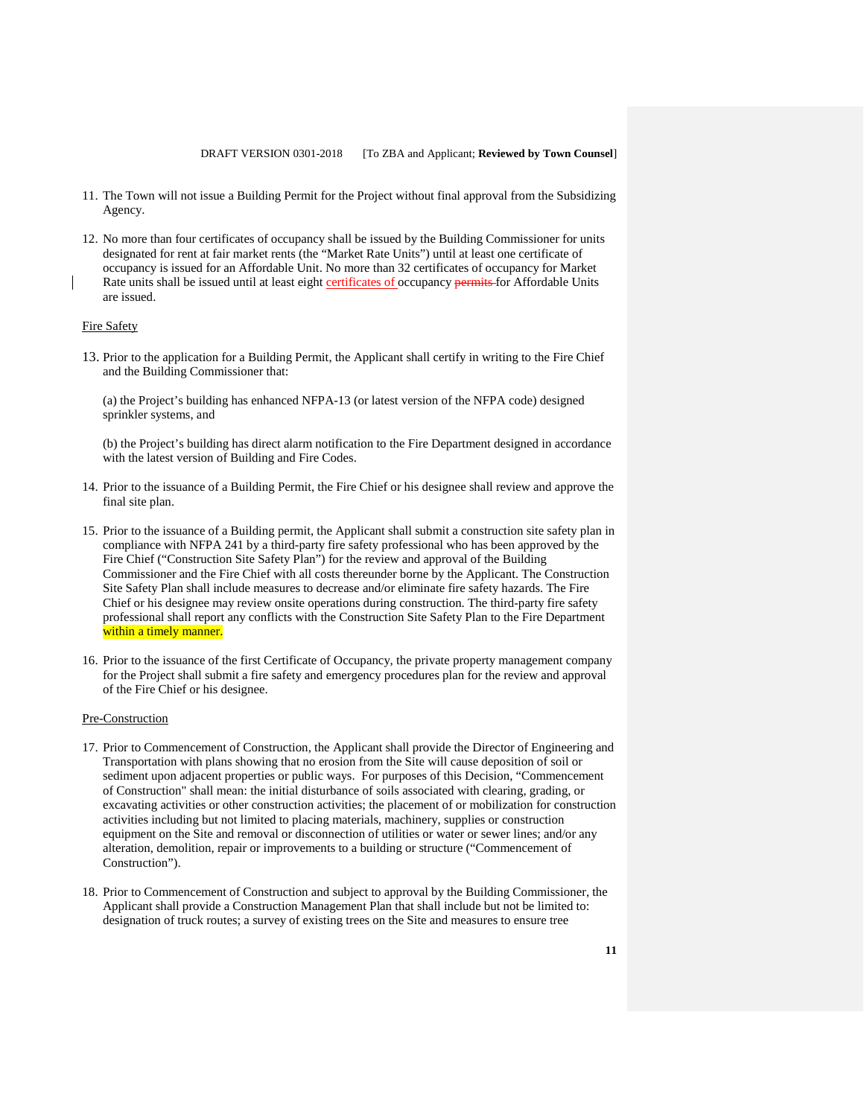- 11. The Town will not issue a Building Permit for the Project without final approval from the Subsidizing Agency.
- 12. No more than four certificates of occupancy shall be issued by the Building Commissioner for units designated for rent at fair market rents (the "Market Rate Units") until at least one certificate of occupancy is issued for an Affordable Unit. No more than 32 certificates of occupancy for Market Rate units shall be issued until at least eight certificates of occupancy permits for Affordable Units are issued.

### Fire Safety

13. Prior to the application for a Building Permit, the Applicant shall certify in writing to the Fire Chief and the Building Commissioner that:

(a) the Project's building has enhanced NFPA-13 (or latest version of the NFPA code) designed sprinkler systems, and

(b) the Project's building has direct alarm notification to the Fire Department designed in accordance with the latest version of Building and Fire Codes.

- 14. Prior to the issuance of a Building Permit, the Fire Chief or his designee shall review and approve the final site plan.
- 15. Prior to the issuance of a Building permit, the Applicant shall submit a construction site safety plan in compliance with NFPA 241 by a third-party fire safety professional who has been approved by the Fire Chief ("Construction Site Safety Plan") for the review and approval of the Building Commissioner and the Fire Chief with all costs thereunder borne by the Applicant. The Construction Site Safety Plan shall include measures to decrease and/or eliminate fire safety hazards. The Fire Chief or his designee may review onsite operations during construction. The third-party fire safety professional shall report any conflicts with the Construction Site Safety Plan to the Fire Department within a timely manner.
- 16. Prior to the issuance of the first Certificate of Occupancy, the private property management company for the Project shall submit a fire safety and emergency procedures plan for the review and approval of the Fire Chief or his designee.

#### Pre-Construction

- 17. Prior to Commencement of Construction, the Applicant shall provide the Director of Engineering and Transportation with plans showing that no erosion from the Site will cause deposition of soil or sediment upon adjacent properties or public ways. For purposes of this Decision, "Commencement of Construction" shall mean: the initial disturbance of soils associated with clearing, grading, or excavating activities or other construction activities; the placement of or mobilization for construction activities including but not limited to placing materials, machinery, supplies or construction equipment on the Site and removal or disconnection of utilities or water or sewer lines; and/or any alteration, demolition, repair or improvements to a building or structure ("Commencement of Construction").
- 18. Prior to Commencement of Construction and subject to approval by the Building Commissioner, the Applicant shall provide a Construction Management Plan that shall include but not be limited to: designation of truck routes; a survey of existing trees on the Site and measures to ensure tree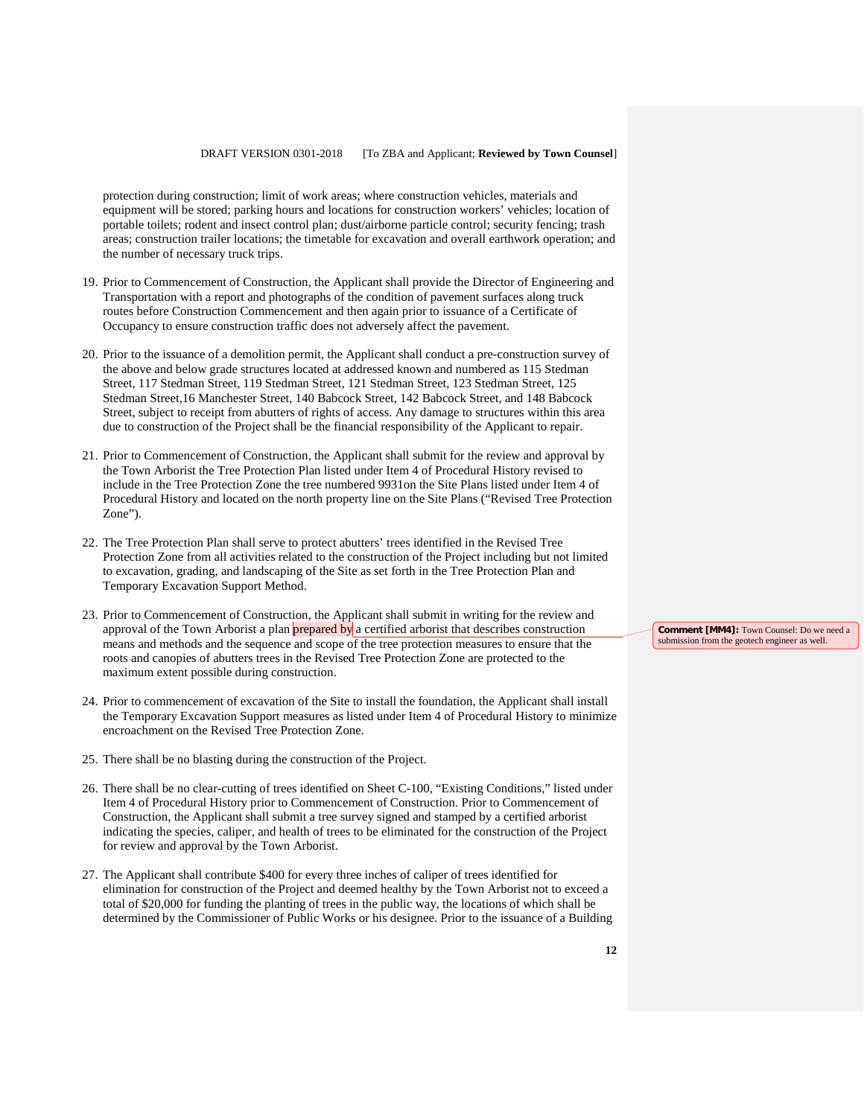protection during construction; limit of work areas; where construction vehicles, materials and equipment will be stored; parking hours and locations for construction workers' vehicles; location of portable toilets; rodent and insect control plan; dust/airborne particle control; security fencing; trash areas; construction trailer locations; the timetable for excavation and overall earthwork operation; and the number of necessary truck trips.

- 19. Prior to Commencement of Construction, the Applicant shall provide the Director of Engineering and Transportation with a report and photographs of the condition of pavement surfaces along truck routes before Construction Commencement and then again prior to issuance of a Certificate of Occupancy to ensure construction traffic does not adversely affect the pavement.
- 20. Prior to the issuance of a demolition permit, the Applicant shall conduct a pre-construction survey of the above and below grade structures located at addressed known and numbered as 115 Stedman Street, 117 Stedman Street, 119 Stedman Street, 121 Stedman Street, 123 Stedman Street, 125 Stedman Street,16 Manchester Street, 140 Babcock Street, 142 Babcock Street, and 148 Babcock Street, subject to receipt from abutters of rights of access. Any damage to structures within this area due to construction of the Project shall be the financial responsibility of the Applicant to repair.
- 21. Prior to Commencement of Construction, the Applicant shall submit for the review and approval by the Town Arborist the Tree Protection Plan listed under Item 4 of Procedural History revised to include in the Tree Protection Zone the tree numbered 9931on the Site Plans listed under Item 4 of Procedural History and located on the north property line on the Site Plans ("Revised Tree Protection Zone").
- 22. The Tree Protection Plan shall serve to protect abutters' trees identified in the Revised Tree Protection Zone from all activities related to the construction of the Project including but not limited to excavation, grading, and landscaping of the Site as set forth in the Tree Protection Plan and Temporary Excavation Support Method.
- 23. Prior to Commencement of Construction, the Applicant shall submit in writing for the review and approval of the Town Arborist a plan prepared by a certified arborist that describes construction means and methods and the sequence and scope of the tree protection measures to ensure that the roots and canopies of abutters trees in the Revised Tree Protection Zone are protected to the maximum extent possible during construction.
- 24. Prior to commencement of excavation of the Site to install the foundation, the Applicant shall install the Temporary Excavation Support measures as listed under Item 4 of Procedural History to minimize encroachment on the Revised Tree Protection Zone.
- 25. There shall be no blasting during the construction of the Project.
- 26. There shall be no clear-cutting of trees identified on Sheet C-100, "Existing Conditions," listed under Item 4 of Procedural History prior to Commencement of Construction. Prior to Commencement of Construction, the Applicant shall submit a tree survey signed and stamped by a certified arborist indicating the species, caliper, and health of trees to be eliminated for the construction of the Project for review and approval by the Town Arborist.
- 27. The Applicant shall contribute \$400 for every three inches of caliper of trees identified for elimination for construction of the Project and deemed healthy by the Town Arborist not to exceed a total of \$20,000 for funding the planting of trees in the public way, the locations of which shall be determined by the Commissioner of Public Works or his designee. Prior to the issuance of a Building

**Comment [MM4]:** Town Counsel: Do we need a submission from the geotech engineer as well.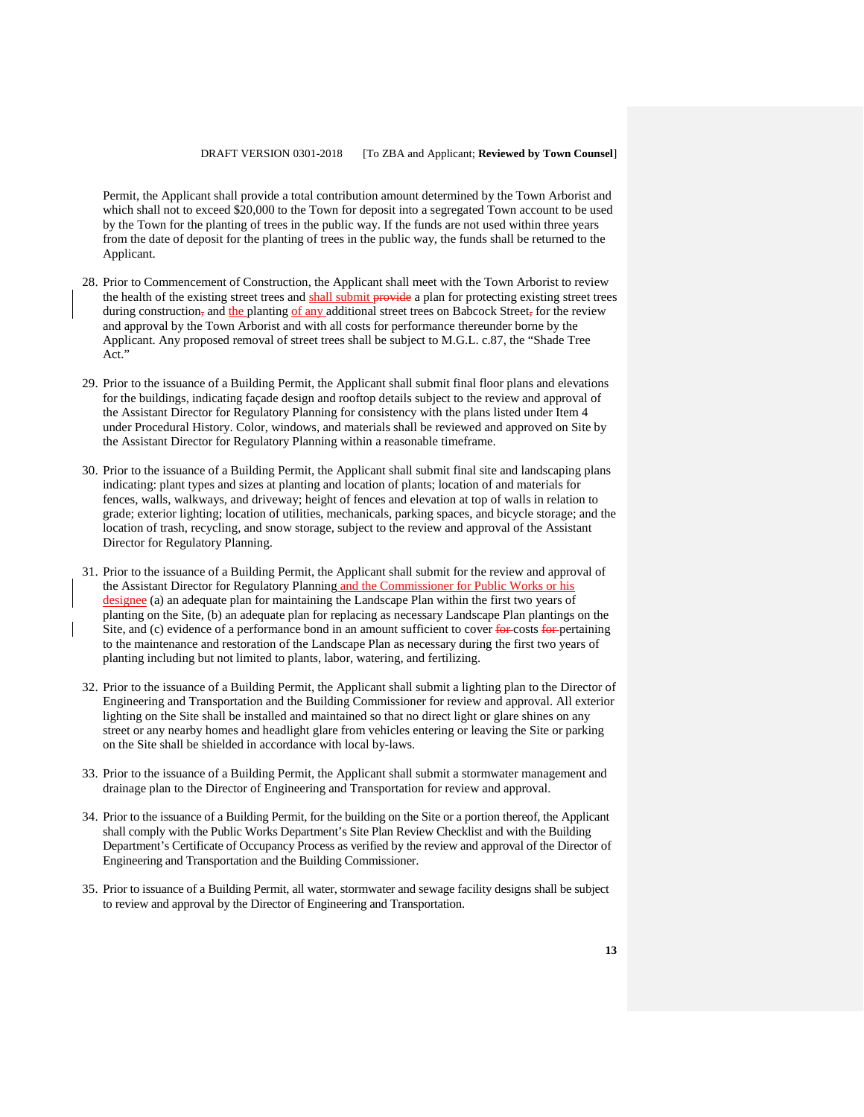Permit, the Applicant shall provide a total contribution amount determined by the Town Arborist and which shall not to exceed \$20,000 to the Town for deposit into a segregated Town account to be used by the Town for the planting of trees in the public way. If the funds are not used within three years from the date of deposit for the planting of trees in the public way, the funds shall be returned to the Applicant.

- 28. Prior to Commencement of Construction, the Applicant shall meet with the Town Arborist to review the health of the existing street trees and shall submit provide a plan for protecting existing street trees during construction, and the planting of any additional street trees on Babcock Street, for the review and approval by the Town Arborist and with all costs for performance thereunder borne by the Applicant. Any proposed removal of street trees shall be subject to M.G.L. c.87, the "Shade Tree Act."
- 29. Prior to the issuance of a Building Permit, the Applicant shall submit final floor plans and elevations for the buildings, indicating façade design and rooftop details subject to the review and approval of the Assistant Director for Regulatory Planning for consistency with the plans listed under Item 4 under Procedural History. Color, windows, and materials shall be reviewed and approved on Site by the Assistant Director for Regulatory Planning within a reasonable timeframe.
- 30. Prior to the issuance of a Building Permit, the Applicant shall submit final site and landscaping plans indicating: plant types and sizes at planting and location of plants; location of and materials for fences, walls, walkways, and driveway; height of fences and elevation at top of walls in relation to grade; exterior lighting; location of utilities, mechanicals, parking spaces, and bicycle storage; and the location of trash, recycling, and snow storage, subject to the review and approval of the Assistant Director for Regulatory Planning.
- 31. Prior to the issuance of a Building Permit, the Applicant shall submit for the review and approval of the Assistant Director for Regulatory Planning and the Commissioner for Public Works or his designee (a) an adequate plan for maintaining the Landscape Plan within the first two years of planting on the Site, (b) an adequate plan for replacing as necessary Landscape Plan plantings on the Site, and (c) evidence of a performance bond in an amount sufficient to cover for costs for pertaining to the maintenance and restoration of the Landscape Plan as necessary during the first two years of planting including but not limited to plants, labor, watering, and fertilizing.
- 32. Prior to the issuance of a Building Permit, the Applicant shall submit a lighting plan to the Director of Engineering and Transportation and the Building Commissioner for review and approval. All exterior lighting on the Site shall be installed and maintained so that no direct light or glare shines on any street or any nearby homes and headlight glare from vehicles entering or leaving the Site or parking on the Site shall be shielded in accordance with local by-laws.
- 33. Prior to the issuance of a Building Permit, the Applicant shall submit a stormwater management and drainage plan to the Director of Engineering and Transportation for review and approval.
- 34. Prior to the issuance of a Building Permit, for the building on the Site or a portion thereof, the Applicant shall comply with the Public Works Department's Site Plan Review Checklist and with the Building Department's Certificate of Occupancy Process as verified by the review and approval of the Director of Engineering and Transportation and the Building Commissioner.
- 35. Prior to issuance of a Building Permit, all water, stormwater and sewage facility designs shall be subject to review and approval by the Director of Engineering and Transportation.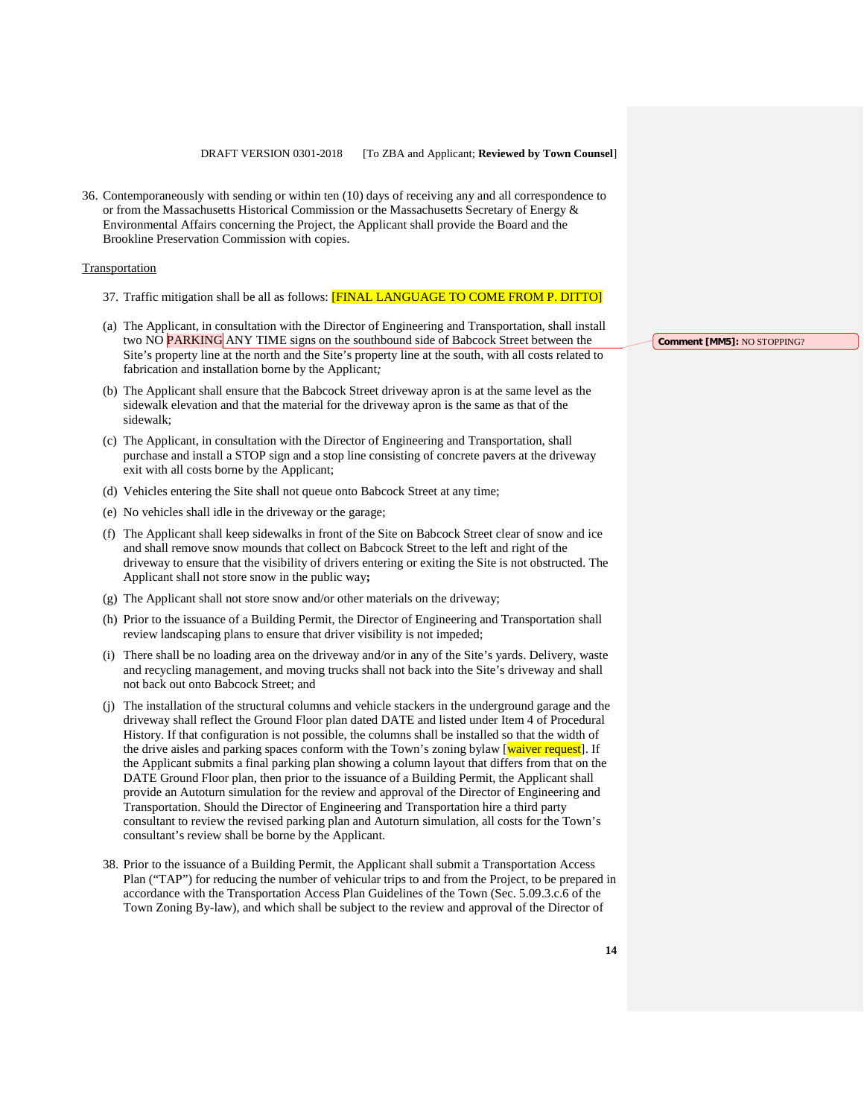36. Contemporaneously with sending or within ten (10) days of receiving any and all correspondence to or from the Massachusetts Historical Commission or the Massachusetts Secretary of Energy & Environmental Affairs concerning the Project, the Applicant shall provide the Board and the Brookline Preservation Commission with copies.

#### Transportation

- 37. Traffic mitigation shall be all as follows: [FINAL LANGUAGE TO COME FROM P. DITTO]
- (a) The Applicant, in consultation with the Director of Engineering and Transportation, shall install two NO PARKING ANY TIME signs on the southbound side of Babcock Street between the Site's property line at the north and the Site's property line at the south, with all costs related to fabrication and installation borne by the Applicant*;*
- (b) The Applicant shall ensure that the Babcock Street driveway apron is at the same level as the sidewalk elevation and that the material for the driveway apron is the same as that of the sidewalk;
- (c) The Applicant, in consultation with the Director of Engineering and Transportation, shall purchase and install a STOP sign and a stop line consisting of concrete pavers at the driveway exit with all costs borne by the Applicant;
- (d) Vehicles entering the Site shall not queue onto Babcock Street at any time;
- (e) No vehicles shall idle in the driveway or the garage;
- (f) The Applicant shall keep sidewalks in front of the Site on Babcock Street clear of snow and ice and shall remove snow mounds that collect on Babcock Street to the left and right of the driveway to ensure that the visibility of drivers entering or exiting the Site is not obstructed. The Applicant shall not store snow in the public way**;**
- (g) The Applicant shall not store snow and/or other materials on the driveway;
- (h) Prior to the issuance of a Building Permit, the Director of Engineering and Transportation shall review landscaping plans to ensure that driver visibility is not impeded;
- (i) There shall be no loading area on the driveway and/or in any of the Site's yards. Delivery, waste and recycling management, and moving trucks shall not back into the Site's driveway and shall not back out onto Babcock Street; and
- (j) The installation of the structural columns and vehicle stackers in the underground garage and the driveway shall reflect the Ground Floor plan dated DATE and listed under Item 4 of Procedural History. If that configuration is not possible, the columns shall be installed so that the width of the drive aisles and parking spaces conform with the Town's zoning bylaw [waiver request]. If the Applicant submits a final parking plan showing a column layout that differs from that on the DATE Ground Floor plan, then prior to the issuance of a Building Permit, the Applicant shall provide an Autoturn simulation for the review and approval of the Director of Engineering and Transportation. Should the Director of Engineering and Transportation hire a third party consultant to review the revised parking plan and Autoturn simulation, all costs for the Town's consultant's review shall be borne by the Applicant.
- 38. Prior to the issuance of a Building Permit, the Applicant shall submit a Transportation Access Plan ("TAP") for reducing the number of vehicular trips to and from the Project, to be prepared in accordance with the Transportation Access Plan Guidelines of the Town (Sec. 5.09.3.c.6 of the Town Zoning By-law), and which shall be subject to the review and approval of the Director of

**Comment [MM5]:** NO STOPPING?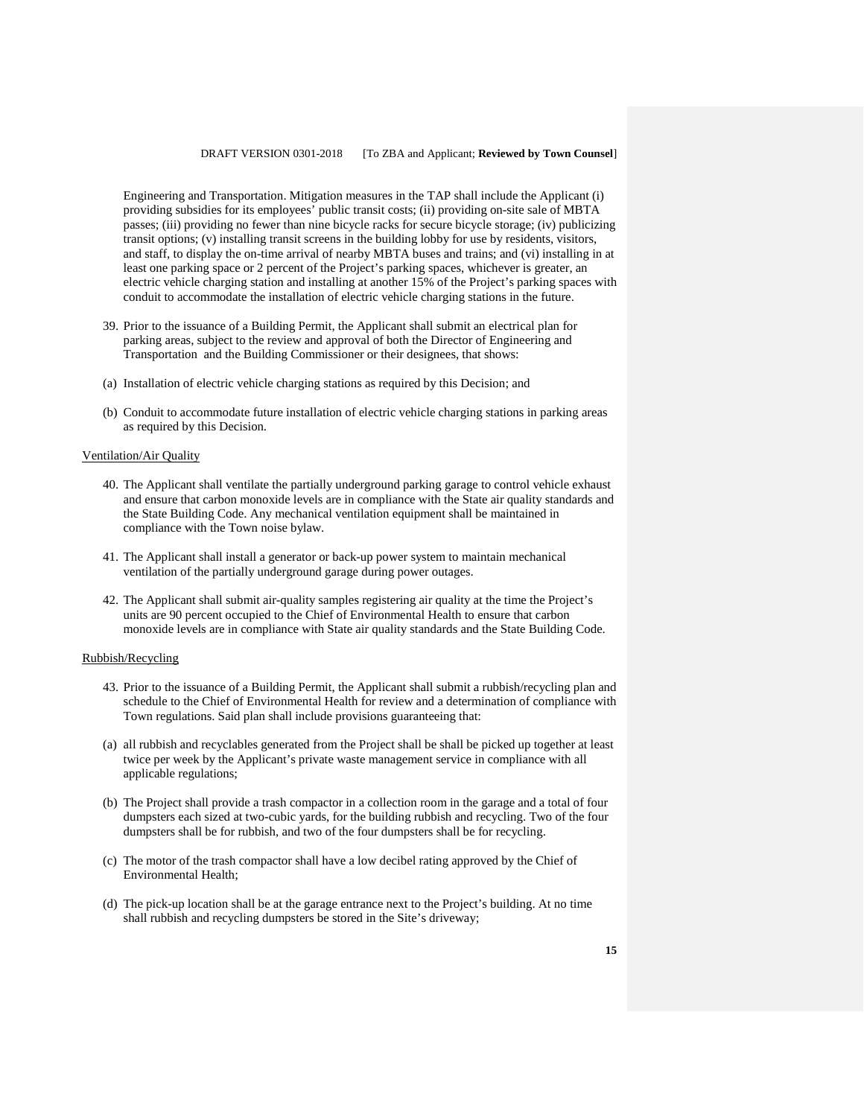Engineering and Transportation. Mitigation measures in the TAP shall include the Applicant (i) providing subsidies for its employees' public transit costs; (ii) providing on-site sale of MBTA passes; (iii) providing no fewer than nine bicycle racks for secure bicycle storage; (iv) publicizing transit options; (v) installing transit screens in the building lobby for use by residents, visitors, and staff, to display the on-time arrival of nearby MBTA buses and trains; and (vi) installing in at least one parking space or 2 percent of the Project's parking spaces, whichever is greater, an electric vehicle charging station and installing at another 15% of the Project's parking spaces with conduit to accommodate the installation of electric vehicle charging stations in the future.

- 39. Prior to the issuance of a Building Permit, the Applicant shall submit an electrical plan for parking areas, subject to the review and approval of both the Director of Engineering and Transportation and the Building Commissioner or their designees, that shows:
- (a) Installation of electric vehicle charging stations as required by this Decision; and
- (b) Conduit to accommodate future installation of electric vehicle charging stations in parking areas as required by this Decision.

#### Ventilation/Air Quality

- 40. The Applicant shall ventilate the partially underground parking garage to control vehicle exhaust and ensure that carbon monoxide levels are in compliance with the State air quality standards and the State Building Code. Any mechanical ventilation equipment shall be maintained in compliance with the Town noise bylaw.
- 41. The Applicant shall install a generator or back-up power system to maintain mechanical ventilation of the partially underground garage during power outages.
- 42. The Applicant shall submit air-quality samples registering air quality at the time the Project's units are 90 percent occupied to the Chief of Environmental Health to ensure that carbon monoxide levels are in compliance with State air quality standards and the State Building Code.

#### Rubbish/Recycling

- 43. Prior to the issuance of a Building Permit, the Applicant shall submit a rubbish/recycling plan and schedule to the Chief of Environmental Health for review and a determination of compliance with Town regulations. Said plan shall include provisions guaranteeing that:
- (a) all rubbish and recyclables generated from the Project shall be shall be picked up together at least twice per week by the Applicant's private waste management service in compliance with all applicable regulations;
- (b) The Project shall provide a trash compactor in a collection room in the garage and a total of four dumpsters each sized at two-cubic yards, for the building rubbish and recycling. Two of the four dumpsters shall be for rubbish, and two of the four dumpsters shall be for recycling.
- (c) The motor of the trash compactor shall have a low decibel rating approved by the Chief of Environmental Health;
- (d) The pick-up location shall be at the garage entrance next to the Project's building. At no time shall rubbish and recycling dumpsters be stored in the Site's driveway;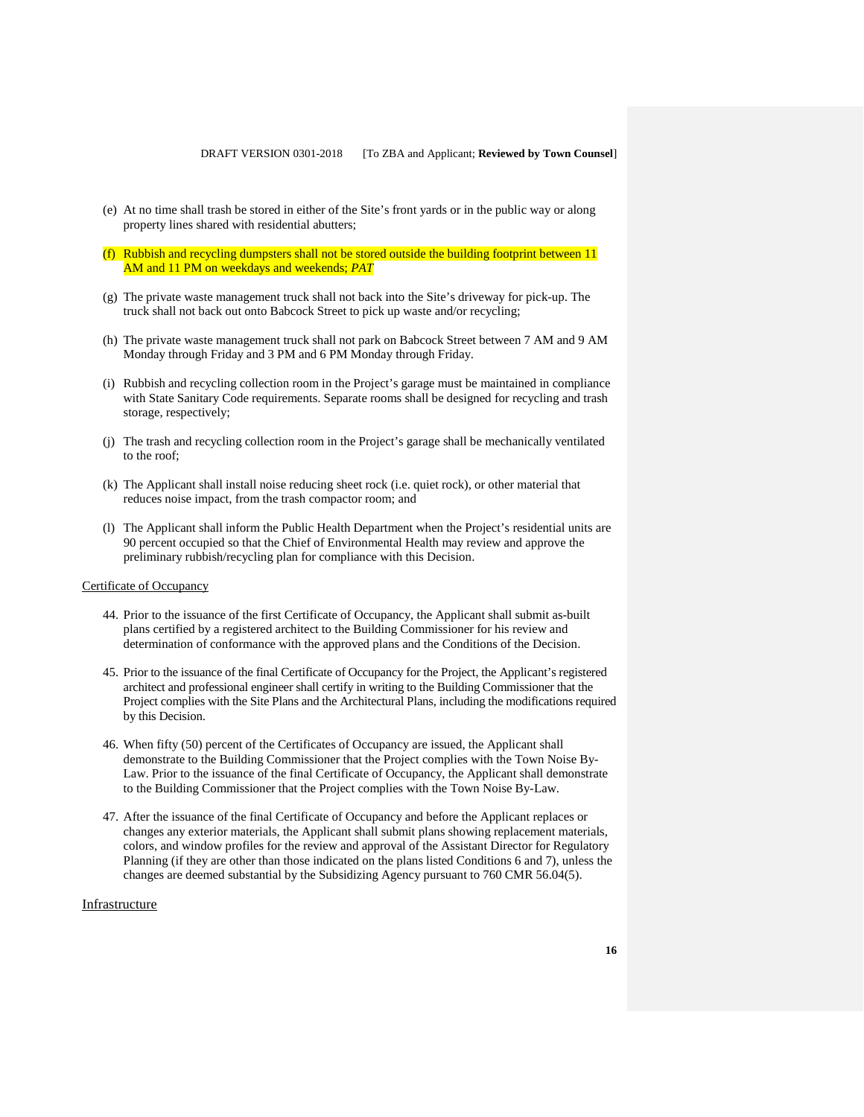- (e) At no time shall trash be stored in either of the Site's front yards or in the public way or along property lines shared with residential abutters;
- (f) Rubbish and recycling dumpsters shall not be stored outside the building footprint between 11 AM and 11 PM on weekdays and weekends; *PAT*
- (g) The private waste management truck shall not back into the Site's driveway for pick-up. The truck shall not back out onto Babcock Street to pick up waste and/or recycling;
- (h) The private waste management truck shall not park on Babcock Street between 7 AM and 9 AM Monday through Friday and 3 PM and 6 PM Monday through Friday.
- (i) Rubbish and recycling collection room in the Project's garage must be maintained in compliance with State Sanitary Code requirements. Separate rooms shall be designed for recycling and trash storage, respectively;
- (j) The trash and recycling collection room in the Project's garage shall be mechanically ventilated to the roof;
- (k) The Applicant shall install noise reducing sheet rock (i.e. quiet rock), or other material that reduces noise impact, from the trash compactor room; and
- (l) The Applicant shall inform the Public Health Department when the Project's residential units are 90 percent occupied so that the Chief of Environmental Health may review and approve the preliminary rubbish/recycling plan for compliance with this Decision.

#### Certificate of Occupancy

- 44. Prior to the issuance of the first Certificate of Occupancy, the Applicant shall submit as-built plans certified by a registered architect to the Building Commissioner for his review and determination of conformance with the approved plans and the Conditions of the Decision.
- 45. Prior to the issuance of the final Certificate of Occupancy for the Project, the Applicant's registered architect and professional engineer shall certify in writing to the Building Commissioner that the Project complies with the Site Plans and the Architectural Plans, including the modifications required by this Decision.
- 46. When fifty (50) percent of the Certificates of Occupancy are issued, the Applicant shall demonstrate to the Building Commissioner that the Project complies with the Town Noise By-Law. Prior to the issuance of the final Certificate of Occupancy, the Applicant shall demonstrate to the Building Commissioner that the Project complies with the Town Noise By-Law.
- 47. After the issuance of the final Certificate of Occupancy and before the Applicant replaces or changes any exterior materials, the Applicant shall submit plans showing replacement materials, colors, and window profiles for the review and approval of the Assistant Director for Regulatory Planning (if they are other than those indicated on the plans listed Conditions 6 and 7), unless the changes are deemed substantial by the Subsidizing Agency pursuant to 760 CMR 56.04(5).

### Infrastructure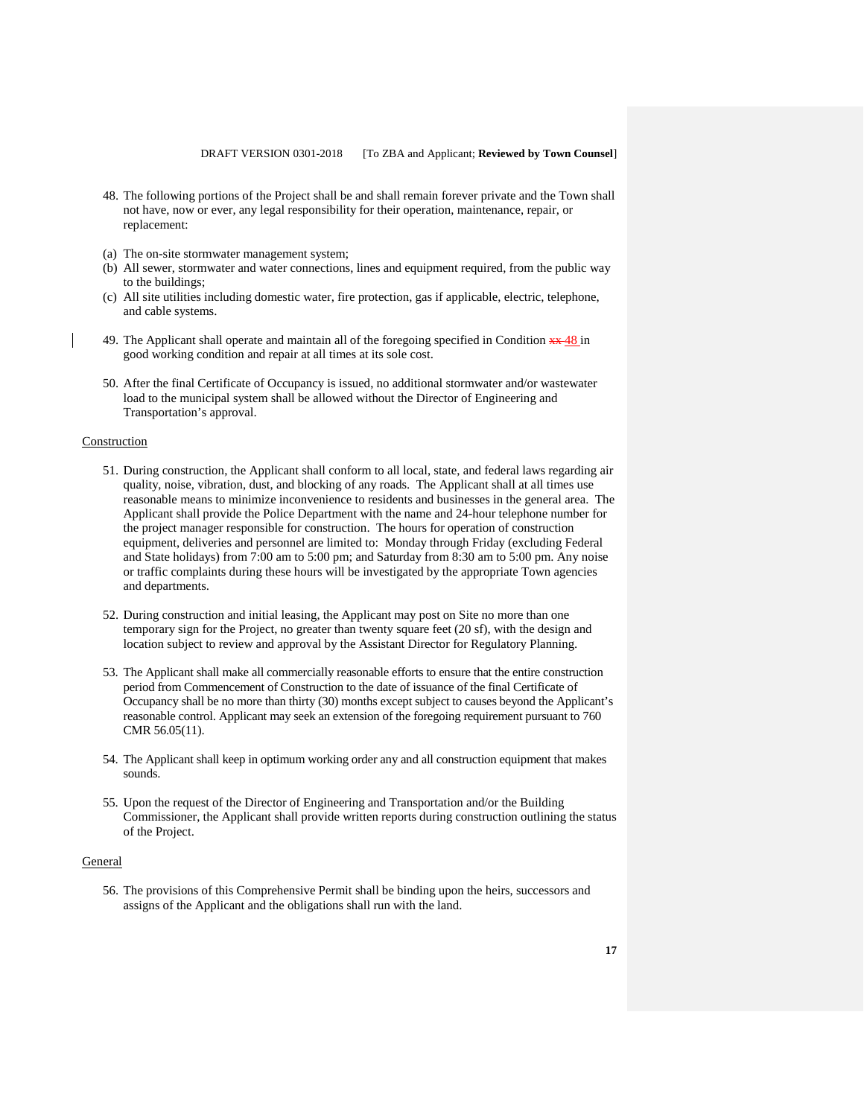- 48. The following portions of the Project shall be and shall remain forever private and the Town shall not have, now or ever, any legal responsibility for their operation, maintenance, repair, or replacement:
- (a) The on-site stormwater management system;
- (b) All sewer, stormwater and water connections, lines and equipment required, from the public way to the buildings;
- (c) All site utilities including domestic water, fire protection, gas if applicable, electric, telephone, and cable systems.
- 49. The Applicant shall operate and maintain all of the foregoing specified in Condition  $\frac{1}{2}$  +  $\frac{48}{2}$  in good working condition and repair at all times at its sole cost.
- 50. After the final Certificate of Occupancy is issued, no additional stormwater and/or wastewater load to the municipal system shall be allowed without the Director of Engineering and Transportation's approval.

#### **Construction**

- 51. During construction, the Applicant shall conform to all local, state, and federal laws regarding air quality, noise, vibration, dust, and blocking of any roads. The Applicant shall at all times use reasonable means to minimize inconvenience to residents and businesses in the general area. The Applicant shall provide the Police Department with the name and 24-hour telephone number for the project manager responsible for construction. The hours for operation of construction equipment, deliveries and personnel are limited to: Monday through Friday (excluding Federal and State holidays) from 7:00 am to 5:00 pm; and Saturday from 8:30 am to 5:00 pm. Any noise or traffic complaints during these hours will be investigated by the appropriate Town agencies and departments.
- 52. During construction and initial leasing, the Applicant may post on Site no more than one temporary sign for the Project, no greater than twenty square feet (20 sf), with the design and location subject to review and approval by the Assistant Director for Regulatory Planning.
- 53. The Applicant shall make all commercially reasonable efforts to ensure that the entire construction period from Commencement of Construction to the date of issuance of the final Certificate of Occupancy shall be no more than thirty (30) months except subject to causes beyond the Applicant's reasonable control. Applicant may seek an extension of the foregoing requirement pursuant to 760 CMR 56.05(11).
- 54. The Applicant shall keep in optimum working order any and all construction equipment that makes sounds.
- 55. Upon the request of the Director of Engineering and Transportation and/or the Building Commissioner, the Applicant shall provide written reports during construction outlining the status of the Project.

#### **General**

56. The provisions of this Comprehensive Permit shall be binding upon the heirs, successors and assigns of the Applicant and the obligations shall run with the land.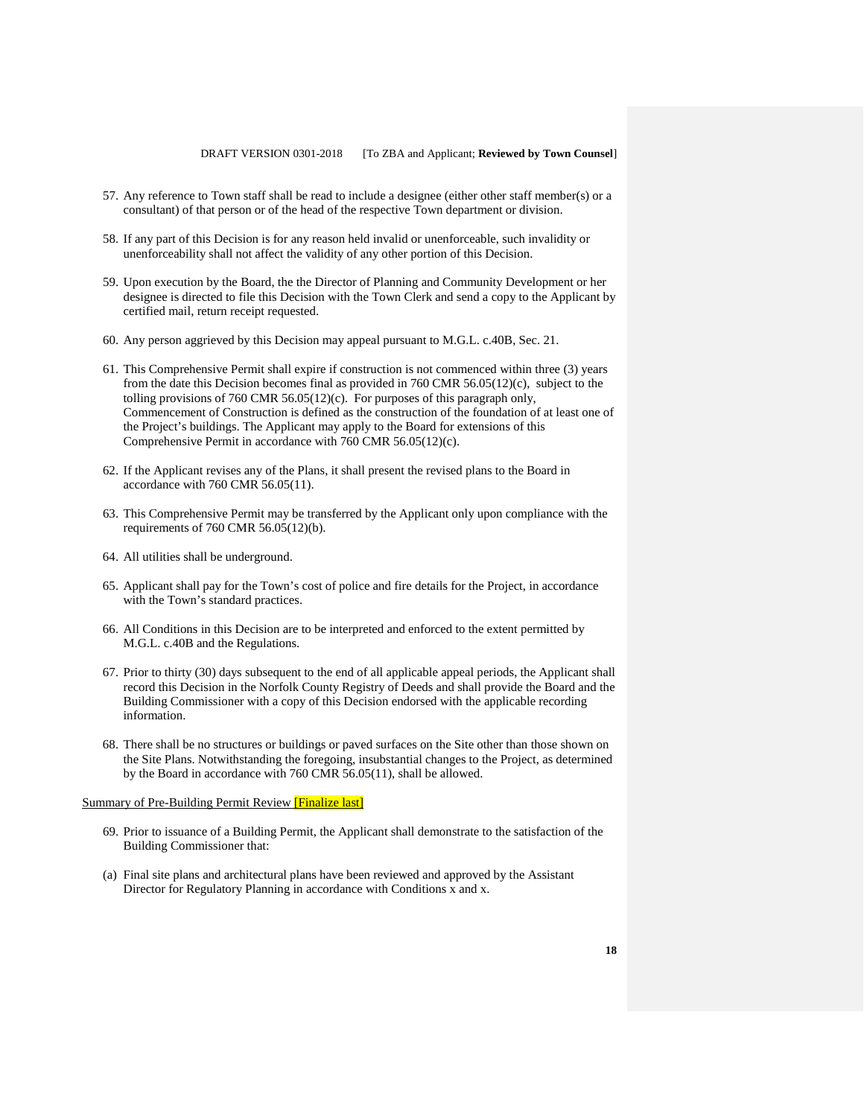- 57. Any reference to Town staff shall be read to include a designee (either other staff member(s) or a consultant) of that person or of the head of the respective Town department or division.
- 58. If any part of this Decision is for any reason held invalid or unenforceable, such invalidity or unenforceability shall not affect the validity of any other portion of this Decision.
- 59. Upon execution by the Board, the the Director of Planning and Community Development or her designee is directed to file this Decision with the Town Clerk and send a copy to the Applicant by certified mail, return receipt requested.
- 60. Any person aggrieved by this Decision may appeal pursuant to M.G.L. c.40B, Sec. 21.
- 61. This Comprehensive Permit shall expire if construction is not commenced within three (3) years from the date this Decision becomes final as provided in 760 CMR 56.05(12)(c), subject to the tolling provisions of 760 CMR 56.05(12)(c). For purposes of this paragraph only, Commencement of Construction is defined as the construction of the foundation of at least one of the Project's buildings. The Applicant may apply to the Board for extensions of this Comprehensive Permit in accordance with 760 CMR 56.05(12)(c).
- 62. If the Applicant revises any of the Plans, it shall present the revised plans to the Board in accordance with 760 CMR 56.05(11).
- 63. This Comprehensive Permit may be transferred by the Applicant only upon compliance with the requirements of 760 CMR 56.05(12)(b).
- 64. All utilities shall be underground.
- 65. Applicant shall pay for the Town's cost of police and fire details for the Project, in accordance with the Town's standard practices.
- 66. All Conditions in this Decision are to be interpreted and enforced to the extent permitted by M.G.L. c.40B and the Regulations.
- 67. Prior to thirty (30) days subsequent to the end of all applicable appeal periods, the Applicant shall record this Decision in the Norfolk County Registry of Deeds and shall provide the Board and the Building Commissioner with a copy of this Decision endorsed with the applicable recording information.
- 68. There shall be no structures or buildings or paved surfaces on the Site other than those shown on the Site Plans. Notwithstanding the foregoing, insubstantial changes to the Project, as determined by the Board in accordance with 760 CMR 56.05(11), shall be allowed.

## Summary of Pre-Building Permit Review [Finalize last]

- 69. Prior to issuance of a Building Permit, the Applicant shall demonstrate to the satisfaction of the Building Commissioner that:
- (a) Final site plans and architectural plans have been reviewed and approved by the Assistant Director for Regulatory Planning in accordance with Conditions x and x.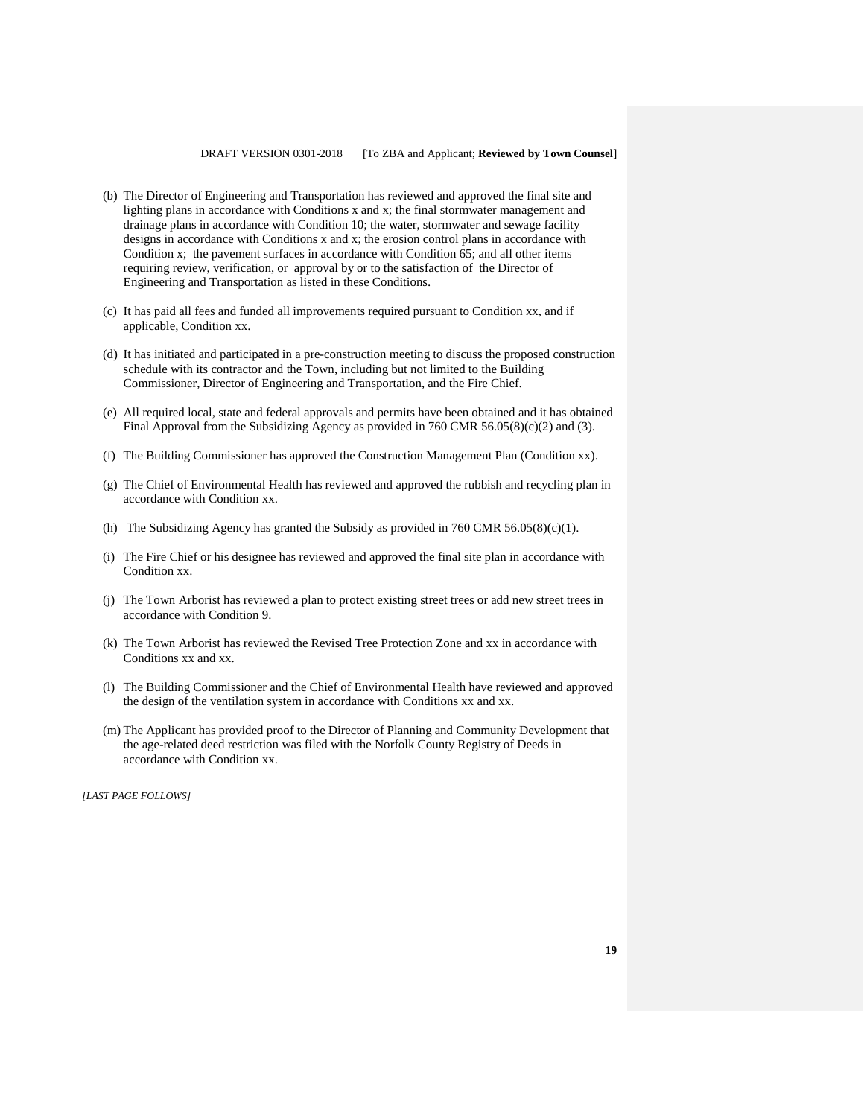- (b) The Director of Engineering and Transportation has reviewed and approved the final site and lighting plans in accordance with Conditions x and x; the final stormwater management and drainage plans in accordance with Condition 10; the water, stormwater and sewage facility designs in accordance with Conditions x and x; the erosion control plans in accordance with Condition x; the pavement surfaces in accordance with Condition 65; and all other items requiring review, verification, or approval by or to the satisfaction of the Director of Engineering and Transportation as listed in these Conditions.
- (c) It has paid all fees and funded all improvements required pursuant to Condition xx, and if applicable, Condition xx.
- (d) It has initiated and participated in a pre-construction meeting to discuss the proposed construction schedule with its contractor and the Town, including but not limited to the Building Commissioner, Director of Engineering and Transportation, and the Fire Chief.
- (e) All required local, state and federal approvals and permits have been obtained and it has obtained Final Approval from the Subsidizing Agency as provided in 760 CMR 56.05(8)(c)(2) and (3).
- (f) The Building Commissioner has approved the Construction Management Plan (Condition xx).
- (g) The Chief of Environmental Health has reviewed and approved the rubbish and recycling plan in accordance with Condition xx.
- (h) The Subsidizing Agency has granted the Subsidy as provided in  $760$  CMR  $56.05(8)(c)(1)$ .
- (i) The Fire Chief or his designee has reviewed and approved the final site plan in accordance with Condition xx.
- (j) The Town Arborist has reviewed a plan to protect existing street trees or add new street trees in accordance with Condition 9.
- (k) The Town Arborist has reviewed the Revised Tree Protection Zone and xx in accordance with Conditions xx and xx.
- (l) The Building Commissioner and the Chief of Environmental Health have reviewed and approved the design of the ventilation system in accordance with Conditions xx and xx.
- (m) The Applicant has provided proof to the Director of Planning and Community Development that the age-related deed restriction was filed with the Norfolk County Registry of Deeds in accordance with Condition xx.

*[LAST PAGE FOLLOWS]*